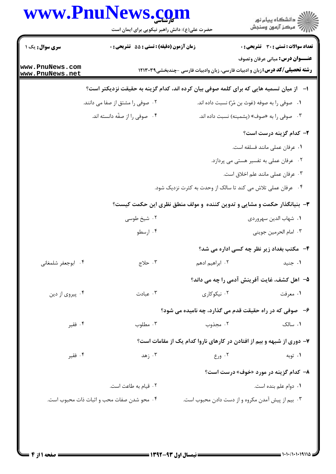## www.PnuNews.com

|                                    | حضرت علی(ع): دانش راهبر نیکویی برای ایمان است                                            |                                                                                    | ِ<br>∭ دانشڪاه پيام نور<br>∭ مرڪز آزمون وسنڊش |
|------------------------------------|------------------------------------------------------------------------------------------|------------------------------------------------------------------------------------|-----------------------------------------------|
| <b>سری سوال :</b> یک ۱             | <b>زمان آزمون (دقیقه) : تستی : 55 تشریحی : 0</b>                                         |                                                                                    | <b>تعداد سوالات : تستی : 30 ٪ تشریحی : 0</b>  |
| www.PnuNews.com<br>www.PnuNews.net |                                                                                          | <b>رشته تحصیلی/کد درس:</b> زبان و ادبیات فارسی، زبان وادبیات فارسی -چندبخشی١٢١٣٠٣٩ | <b>عنـــوان درس:</b> مبانی عرفان وتصوف        |
|                                    | ا− ∫از میان تسمیه هایی که برای کلمه صوفی بیان کرده اند، کدام گزینه به حقیقت نزدیکتر است؟ |                                                                                    |                                               |
|                                    | ۰۲ صوفی را مشتق از صفا می دانند.                                                         | ٠١ _ صوفي را به صوفه (غوث بن مُرّ) نسبت داده اند.                                  |                                               |
|                                    | ۰۴ صوفی را از صفّه دانسته اند.                                                           |                                                                                    | ۰۳ صوفي را به «صوف» (پشمينه) نسبت داده اند.   |
|                                    |                                                                                          |                                                                                    | ۲- کدام گزینه درست است؟                       |
|                                    |                                                                                          |                                                                                    | ١. عرفان عملي مانند فسلفه است.                |
|                                    |                                                                                          |                                                                                    | ۰۲ عرفان عملی به تفسیر هستی می پردازد.        |
|                                    |                                                                                          |                                                                                    | ۰۳ عرفان عملي مانند علم اخلاق است.            |
|                                    |                                                                                          | ۰۴ عرفان عملی تلاش می کند تا سالک از وحدت به کثرت نزدیک شود.                       |                                               |
|                                    |                                                                                          | ۳- بنیانگذار حکمت و مشایی و تدوین کننده و مولف منطق نظری این حکمت کیست؟            |                                               |
|                                    | ۰۲ شیخ طوسی                                                                              |                                                                                    | ۰۱ شهاب الدين سهروردي                         |
|                                    | ۰۴ ارسطو                                                                                 |                                                                                    | ۰۳ امام الحرمين جويني                         |
|                                    |                                                                                          |                                                                                    | ۴-۔ مکتب بغداد زیر نظر چه کسی اداره می شد؟    |
| ۰۴ ابوجعفر شلمغانی                 | ۰۳ حلاج                                                                                  | ۲. ابراهیم ادهم                                                                    | ۰۱ جنید                                       |
|                                    |                                                                                          | ۵– اهل کشف، غایت آفرینش آدمی را چه می داند؟                                        |                                               |
| ۰۴ پیروی از دین                    | ۰۳ عبادت                                                                                 | ۰۲ نیکوکاری                                                                        | ۰۱ معرفت                                      |
|                                    |                                                                                          | ۶-۔ صوفی که در راه حقیقت قدم می گذارد، چه نامیده می شود؟                           |                                               |
| ۰۴ فقير                            | ۰۳ مطلوب                                                                                 | ۰۲ مجذوب                                                                           | ۰۱ سالک                                       |
|                                    |                                                                                          | ۷- دوری از شبهه و بیم از افتادن در کارهای ناروا کدام یک از مقامات است؟             |                                               |
| ۰۴ فقير                            | ۰۳ زهد                                                                                   | ۰۲ ورع                                                                             | ۰۱ توبه                                       |
|                                    |                                                                                          |                                                                                    | <b>۸- کدام گزینه در مورد «خوف» درست است؟</b>  |
|                                    | ۲ . قیام به طاعت است.                                                                    |                                                                                    | ۰۱ دوام علم بنده است.                         |
|                                    | ۰۴ محو شدن صفات محب و اثبات ذات محبوب است.                                               | ۰۳ بیم از پیش آمدن مکروه و از دست دادن محبوب است.                                  |                                               |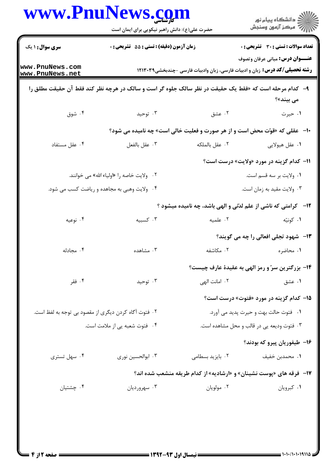| <b>سری سوال : ۱ یک</b>                                | زمان آزمون (دقیقه) : تستی : 55 آتشریحی : 0                                                               |                                                                                    | <b>تعداد سوالات : تستی : 30 ٪ تشریحی : 0</b>     |
|-------------------------------------------------------|----------------------------------------------------------------------------------------------------------|------------------------------------------------------------------------------------|--------------------------------------------------|
|                                                       |                                                                                                          |                                                                                    | <b>عنـــوان درس:</b> مبانی عرفان وتصوف           |
| www.PnuNews.com<br>www.PnuNews.net                    |                                                                                                          | <b>رشته تحصیلی/کد درس:</b> زبان و ادبیات فارسی، زبان وادبیات فارسی -چندبخشی١٢١٣٠٣٩ |                                                  |
|                                                       | ۹-   کدام مرحله است که «فقط یک حقیقت در نظر سالک جلوه گر است و سالک در هرچه نظر کند فقط آن حقیقت مطلق را |                                                                                    | می بیند»؟                                        |
| ۰۴ شوق                                                | ۰۳ توحید                                                                                                 | ۰۲ عشق                                                                             | ۰۱ حیرت                                          |
|                                                       |                                                                                                          | <b>۱۰</b> - عقلی که «قوّت محض است و از هر صورت و فعلیت خالی است» چه نامیده می شود؟ |                                                  |
| ۰۴ عقل مستفاد                                         | ۰۳ عقل بالفعل                                                                                            | ٠٢ عقل بالملكه                                                                     | ٠١ عقل هيولايي                                   |
|                                                       |                                                                                                          |                                                                                    | 11- کدام گزینه در مورد «ولایت» درست است؟         |
|                                                       | ۰۲ ولايت خاصه را «اولياء الله» مي خوانند.                                                                |                                                                                    | ٠١ ولايت بر سه قسم است.                          |
|                                                       | ۰۴ ولایت وهبی به مجاهده و ریاضت کسب می شود.                                                              |                                                                                    | ۰۳ ولايت مقيد به زمان است.                       |
|                                                       |                                                                                                          | <b>۱۲</b> - کرامتی که ناشی از علم لدّتی و الهی باشد، چه نامیده میشود ؟             |                                                  |
| ۰۴ نوعیه                                              | ۰۳ کسبیه                                                                                                 | ٠٢ علميه                                                                           | ۰۱ کونیّه                                        |
|                                                       |                                                                                                          |                                                                                    | ۱۳-۔ شهود تجلی افعالی را چه می گویند؟            |
| ۰۴ مجادله                                             | ۰۳ مشاهده                                                                                                | ۰۲ مکاشفه                                                                          | ۱. محاضره                                        |
|                                                       |                                                                                                          |                                                                                    | ۱۴- بزرگترین سرّ و رمز الهی به عقیدهٔ عارف چیست؟ |
| ۰۴ فقر                                                | ۰۳ توحید                                                                                                 | ٠٢ امانت الهي                                                                      | ۰۱ عشق                                           |
|                                                       |                                                                                                          |                                                                                    | <b>۱۵</b> – کدام گزینه در مورد «فتوت» درست است؟  |
| ۲ . فتوت آگاه کردن دیگری از مقصود بی توجه به لفظ است. |                                                                                                          | ۰۱ فتوت حالت بهت و حیرت پدید می آورد.                                              |                                                  |
| ۰۴ فتوت شعبه یی از ملامت است.                         |                                                                                                          |                                                                                    | ۰۳ فتوت ودیعه یی در قالب و محل مشاهده است.       |
|                                                       |                                                                                                          |                                                                                    | ۱۶– طیفوریان پیرو که بودند؟                      |
| ۰۴ سهل تستری                                          | ۰۳ ابوالحسين نوري                                                                                        | ٠٢ بايزيد بسطامى                                                                   | ۰۱ محمدبن خفیف                                   |
|                                                       |                                                                                                          | <b>۱۷</b> - فرقه های «پوست نشینان» و «ارشادیه» از کدام طریقه منشعب شده اند؟        |                                                  |
| ۰۴ چشتیان                                             | ۰۳ سهرورديان                                                                                             | ۰۲ مولويان                                                                         | ٠١ كبرويان                                       |
|                                                       |                                                                                                          |                                                                                    |                                                  |
|                                                       |                                                                                                          |                                                                                    |                                                  |
|                                                       |                                                                                                          |                                                                                    |                                                  |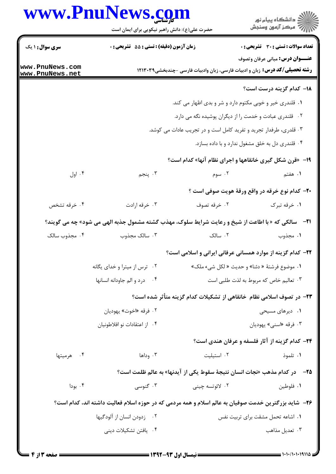## www.PnuNews.com

|                                    | www.PnuNews.com<br>حضرت علی(ع): دانش راهبر نیکویی برای ایمان است                                            |                                                          | ر<br>دانشڪاه پيام نور)<br>ا∛ مرڪز آزمون وسنڊش                                                                                |
|------------------------------------|-------------------------------------------------------------------------------------------------------------|----------------------------------------------------------|------------------------------------------------------------------------------------------------------------------------------|
| <b>سری سوال : ۱ یک</b>             | زمان آزمون (دقیقه) : تستی : 55 آتشریحی : 0                                                                  |                                                          | <b>تعداد سوالات : تستی : 30 - تشریحی : 0</b>                                                                                 |
| www.PnuNews.com<br>www.PnuNews.net |                                                                                                             |                                                          | <b>عنـــوان درس:</b> مبانی عرفان وتصوف<br><b>رشته تحصیلی/کد درس:</b> زبان و ادبیات فارسی، زبان وادبیات فارسی -چندبخشی١٢١٣٠٣٩ |
|                                    |                                                                                                             |                                                          | 1۸- کدام گزینه درست است؟                                                                                                     |
|                                    |                                                                                                             | ۰۱ قلندری خیر و خوبی مکتوم دارد و شر و بدی اظهار می کند. |                                                                                                                              |
|                                    |                                                                                                             | ۰۲ قلندری عبادت و خدمت را از دیگران پوشیده نگه می دارد.  |                                                                                                                              |
|                                    | ۰۳ قلدری، طرفدار تجرید و تفرید کامل است و در تجریب عادات می کوشد.                                           |                                                          |                                                                                                                              |
|                                    |                                                                                                             |                                                          | ۰۴ قلندری دل به خلق مشغول ندارد و با داده بسازد.                                                                             |
|                                    |                                                                                                             |                                                          | ۱۹- «قرن شکل گیری خانقاهها و اجرای نظام آنها» کدام است؟                                                                      |
| ۰۴ اول                             | ۰۳ پنجم                                                                                                     | ۰۲ سوم                                                   | ۰۱ هفتم                                                                                                                      |
|                                    |                                                                                                             |                                                          | <b>۳۰</b> - کدام نوع خرقه در واقع ورقهٔ هویت صوفی است ؟                                                                      |
| ۰۴ خرقه تشخص                       | ۰۳ خرقه ارادت                                                                                               | ۰۲ خرقه تصوف                                             | ۰۱ خرقه تبرک                                                                                                                 |
|                                    | <b>21</b> -   سالکی که « با اطاعت از شیخ و رعایت شرایط سلوک، مهذب گشته مشمول جذبه الهی می شود» چه می گویند؟ |                                                          |                                                                                                                              |
| ۰۴ مجذوب سالک                      | ۰۳ سالک مجذوب                                                                                               | ۰۲ سالک                                                  | ١. مجذوب                                                                                                                     |
|                                    |                                                                                                             |                                                          | ۲۲- کدام گزینه از موارد همسانی عرفانی ایرانی و اسلامی است؟                                                                   |
|                                    | ۰۲ ترس از میترا و خدای یگانه                                                                                |                                                          | ٠١ موضوع فرشتهٔ « دئنا» و حديث « لكل شيء ملك»                                                                                |
|                                    | ۰۴ درد و الم جاودانه انسانها                                                                                | ۰۳ تعالیم خاص که مربوط به لذت طلبی است                   |                                                                                                                              |
|                                    | ۲۳– در تصوف اسلامی نظام  خانقاهی از تشکیلات کدام گزینه متأثر شده است؟                                       |                                                          |                                                                                                                              |
|                                    | ۲. فرقه «اخوت» يهوديان                                                                                      |                                                          | ۰۱ دیرهای مسیحی                                                                                                              |
|                                    | ۰۴ از اعتقادات نو افلاطونيان                                                                                |                                                          | ۰۳ فرقه «اسني» يهوديان                                                                                                       |
|                                    |                                                                                                             |                                                          | ۲۴- کدام گزینه از آثار فلسفه و عرفان هندی است؟                                                                               |
| ۰۴ هرمیتها                         | ۰۳ وداها                                                                                                    | ۰۲ استیلیت                                               | ۰۱ تلموذ                                                                                                                     |
|                                    |                                                                                                             |                                                          | ۲۵− در کدام مذهب «نجات انسان نتیجهٔ سقوط یکی از آیدنها» به عالم ظلمت است؟                                                    |
| ۰۴ بودا                            | ۰۳ گنوسی                                                                                                    | ۰۲ لائوتسه چين <i>ي</i>                                  | ٠١ فلوطين                                                                                                                    |
|                                    | ۲۶- شاید بزرگترین خدمت صوفیان به عالم اسلام و همه مردمی که در حوزه اسلام فعالیت داشته اند، کدام است؟        |                                                          |                                                                                                                              |
| ۰۲ زدودن انسان از آلودگیها         |                                                                                                             |                                                          | ۰۱ اشاعه تحمل مشقت برای تربیت نفس                                                                                            |
| ۰۴ يافتن تشكيلات ديني              |                                                                                                             |                                                          | ۰۳ تعدیل مذاهب                                                                                                               |